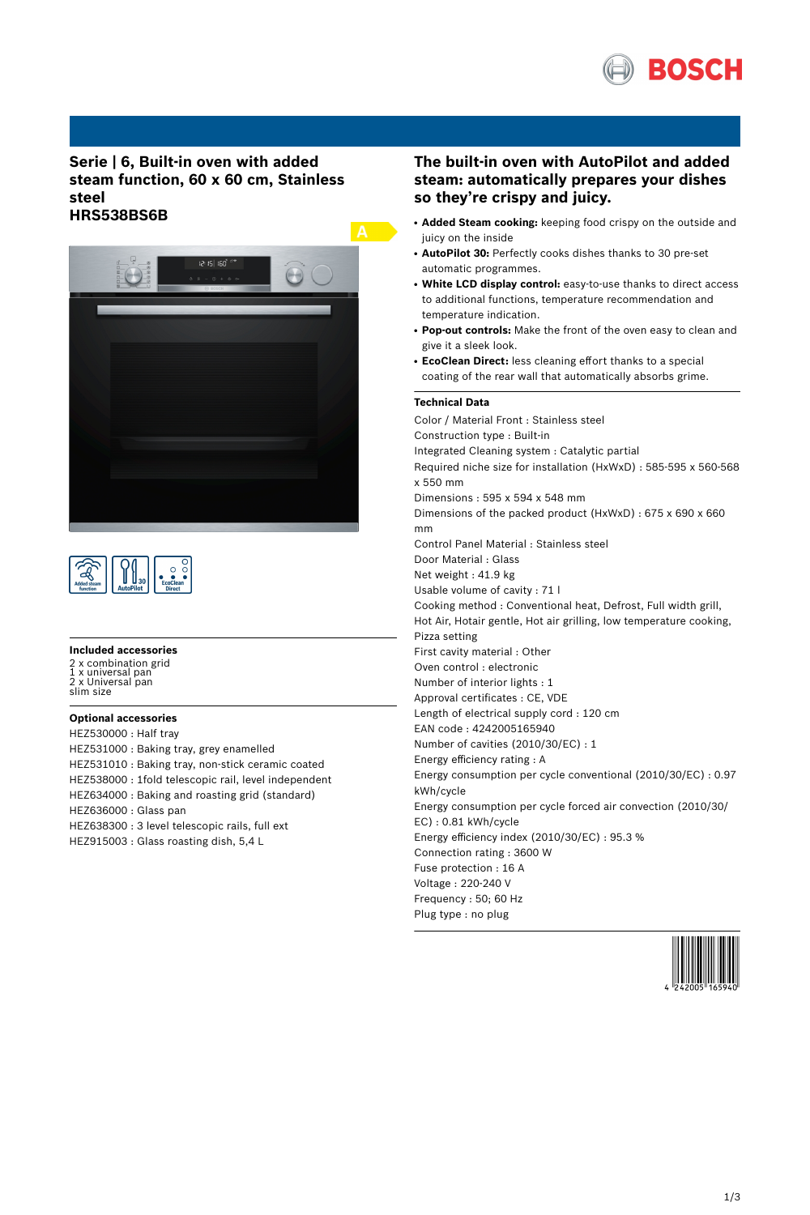

# **Serie | 6, Built-in oven with added steam function, 60 x 60 cm, Stainless steel HRS538BS6B**





#### **Included accessories**

2 x combination grid 1 x universal pan 2 x Universal pan slim size

### **Optional accessories**

HEZ530000 : Half tray HEZ531000 : Baking tray, grey enamelled HEZ531010 : Baking tray, non-stick ceramic coated HEZ538000 : 1fold telescopic rail, level independent HEZ634000 : Baking and roasting grid (standard) HEZ636000 : Glass pan HEZ638300 : 3 level telescopic rails, full ext HEZ915003 : Glass roasting dish, 5,4 L

# **The built-in oven with AutoPilot and added steam: automatically prepares your dishes so they're crispy and juicy.**

- **Added Steam cooking:** keeping food crispy on the outside and juicy on the inside
- AutoPilot 30: Perfectly cooks dishes thanks to 30 pre-set automatic programmes.
- **White LCD display control:** easy-to-use thanks to direct access to additional functions, temperature recommendation and temperature indication.
- Pop-out controls: Make the front of the oven easy to clean and give it a sleek look.
- **EcoClean Direct:** less cleaning effort thanks to a special coating of the rear wall that automatically absorbs grime.

### **Technical Data**

Color / Material Front : Stainless steel Construction type : Built-in Integrated Cleaning system : Catalytic partial Required niche size for installation (HxWxD) : 585-595 x 560-568 x 550 mm Dimensions : 595 x 594 x 548 mm Dimensions of the packed product (HxWxD) : 675 x 690 x 660 mm Control Panel Material : Stainless steel Door Material : Glass Net weight : 41.9 kg Usable volume of cavity : 71 l Cooking method : Conventional heat, Defrost, Full width grill, Hot Air, Hotair gentle, Hot air grilling, low temperature cooking, Pizza setting First cavity material : Other Oven control : electronic Number of interior lights : 1 Approval certificates : CE, VDE Length of electrical supply cord : 120 cm EAN code : 4242005165940 Number of cavities (2010/30/EC) : 1 Energy efficiency rating : A Energy consumption per cycle conventional (2010/30/EC) : 0.97 kWh/cycle Energy consumption per cycle forced air convection (2010/30/ EC) : 0.81 kWh/cycle Energy efficiency index (2010/30/EC) : 95.3 % Connection rating : 3600 W Fuse protection : 16 A Voltage : 220-240 V Frequency : 50; 60 Hz Plug type : no plug

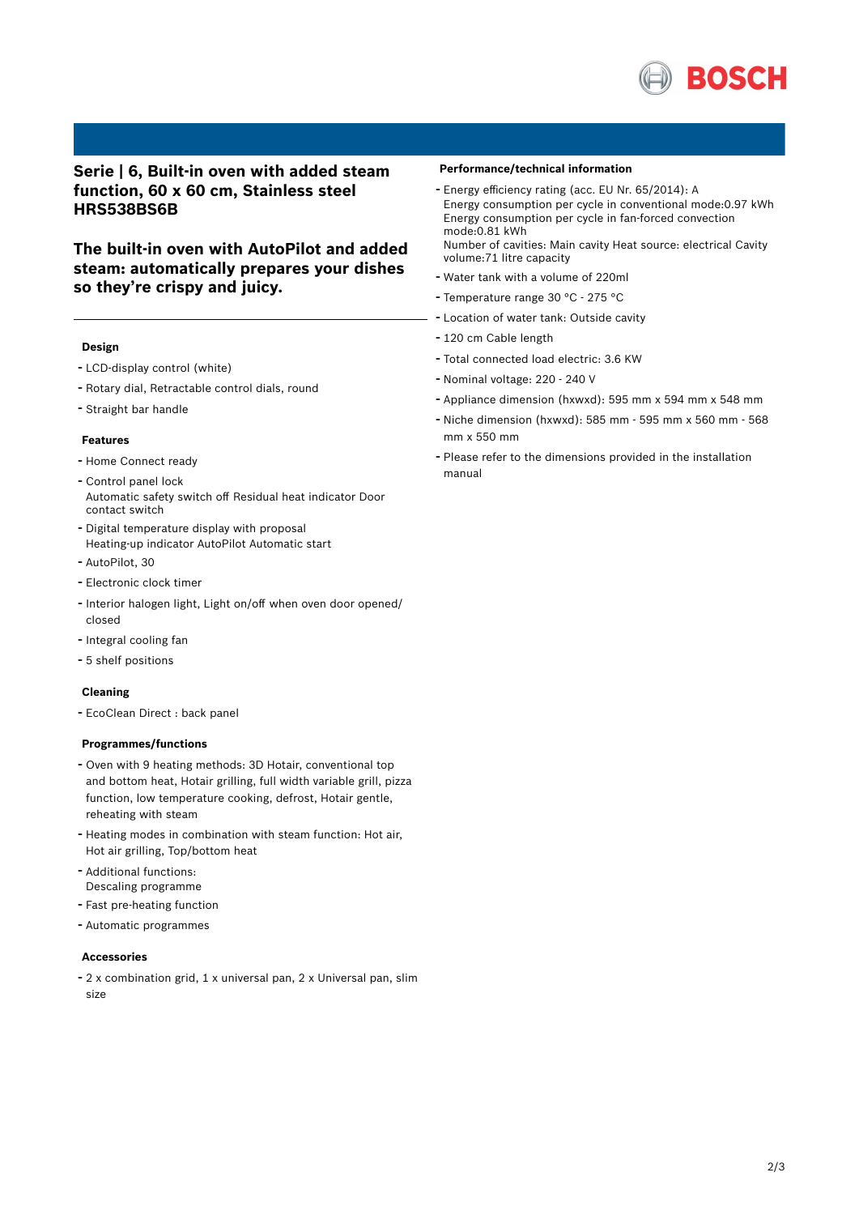

# **Serie | 6, Built-in oven with added steam function, 60 x 60 cm, Stainless steel HRS538BS6B**

**The built-in oven with AutoPilot and added steam: automatically prepares your dishes so they're crispy and juicy.**

#### **Design**

- LCD-display control (white)
- Rotary dial, Retractable control dials, round
- Straight bar handle

#### **Features**

- Home Connect ready
- Control panel lock Automatic safety switch off Residual heat indicator Door contact switch
- Digital temperature display with proposal Heating-up indicator AutoPilot Automatic start
- AutoPilot, <sup>30</sup>
- Electronic clock timer
- Interior halogen light, Light on/off when oven door opened/ closed
- Integral cooling fan
- 5 shelf positions

#### **Cleaning**

- EcoClean Direct : back panel

#### **Programmes/functions**

- Oven with <sup>9</sup> heating methods: 3D Hotair, conventional top and bottom heat, Hotair grilling, full width variable grill, pizza function, low temperature cooking, defrost, Hotair gentle, reheating with steam
- Heating modes in combination with steam function: Hot air, Hot air grilling, Top/bottom heat
- Additional functions: Descaling programme
- Fast pre-heating function
- Automatic programmes

### **Accessories**

- <sup>2</sup> <sup>x</sup> combination grid, <sup>1</sup> <sup>x</sup> universal pan, <sup>2</sup> <sup>x</sup> Universal pan, slim size

#### **Performance/technical information**

- Energy efficiency rating (acc. EU Nr. 65/2014): <sup>A</sup> Energy consumption per cycle in conventional mode:0.97 kWh Energy consumption per cycle in fan-forced convection mode:0.81 kWh

Number of cavities: Main cavity Heat source: electrical Cavity volume:71 litre capacity

- Water tank with <sup>a</sup> volume of 220ml
- Temperature range <sup>30</sup> °C <sup>275</sup> °C
- Location of water tank: Outside cavity
- <sup>120</sup> cm Cable length
- Total connected load electric: 3.6 KW
- Nominal voltage: <sup>220</sup> <sup>240</sup> <sup>V</sup>
- Appliance dimension (hxwxd): 595 mm x 594 mm x 548 mm
- Niche dimension (hxwxd): <sup>585</sup> mm <sup>595</sup> mm <sup>x</sup> <sup>560</sup> mm <sup>568</sup> mm x 550 mm
- Please refer to the dimensions provided in the installation manual